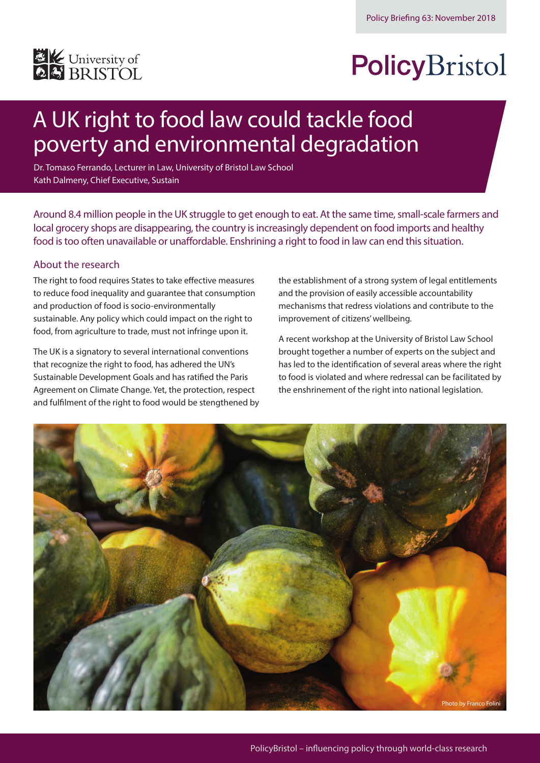

# PolicyBristol

# A UK right to food law could tackle food poverty and environmental degradation

Dr. Tomaso Ferrando, Lecturer in Law, University of Bristol Law School Kath Dalmeny, Chief Executive, Sustain

Around 8.4 million people in the UK struggle to get enough to eat. At the same time, small-scale farmers and local grocery shops are disappearing, the country is increasingly dependent on food imports and healthy food is too often unavailable or unaffordable. Enshrining a right to food in law can end this situation.

### About the research

The right to food requires States to take effective measures to reduce food inequality and guarantee that consumption and production of food is socio-environmentally sustainable. Any policy which could impact on the right to food, from agriculture to trade, must not infringe upon it.

The UK is a signatory to several international conventions that recognize the right to food, has adhered the UN's Sustainable Development Goals and has ratified the Paris Agreement on Climate Change. Yet, the protection, respect and fulfilment of the right to food would be stengthened by the establishment of a strong system of legal entitlements and the provision of easily accessible accountability mechanisms that redress violations and contribute to the improvement of citizens' wellbeing.

A recent workshop at the University of Bristol Law School brought together a number of experts on the subject and has led to the identification of several areas where the right to food is violated and where redressal can be facilitated by the enshrinement of the right into national legislation.